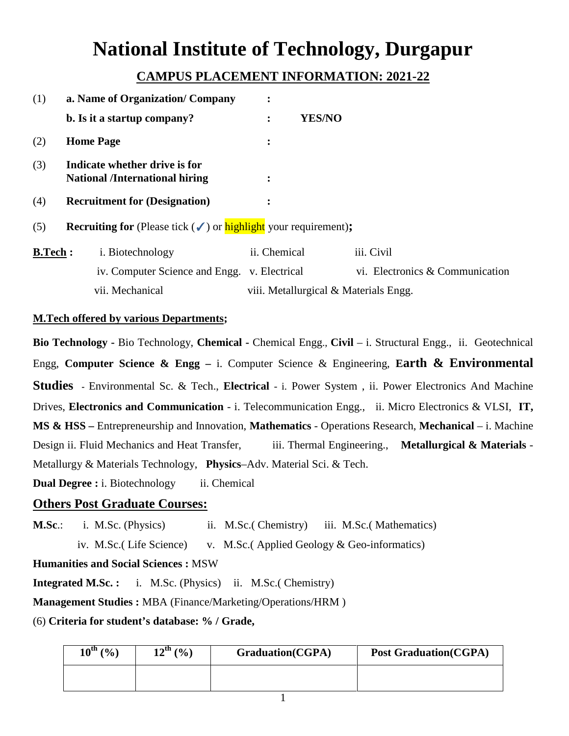# **National Institute of Technology, Durgapur**

## **CAMPUS PLACEMENT INFORMATION: 2021-22**

| (1) | a. Name of Organization/ Company                                                                |                                                                                                   |                                        |  |
|-----|-------------------------------------------------------------------------------------------------|---------------------------------------------------------------------------------------------------|----------------------------------------|--|
|     | b. Is it a startup company?                                                                     | <b>YES/NO</b><br>$\bullet$                                                                        |                                        |  |
| (2) | <b>Home Page</b>                                                                                |                                                                                                   |                                        |  |
| (3) | Indicate whether drive is for<br><b>National /International hiring</b>                          |                                                                                                   |                                        |  |
| (4) | <b>Recruitment for (Designation)</b>                                                            |                                                                                                   |                                        |  |
| (5) | <b>Recruiting for</b> (Please tick $(\checkmark)$ or <b>highlight</b> your requirement);        |                                                                                                   |                                        |  |
|     | $\mathbf{D} \mathbf{E}$ and $\mathbf{E}$ $\mathbf{E}$ $\mathbf{D}$ is the shock of $\mathbf{E}$ | $\mathcal{L}$ $\mathcal{L}$ $\mathcal{L}$ $\mathcal{L}$ $\mathcal{L}$ $\mathcal{L}$ $\mathcal{L}$ | $\mathbf{1}$ $\mathbf{1}$ $\mathbf{1}$ |  |

| B.Tech: | <i>i.</i> Biotechnology                      | ii. Chemical                          | iii. Civil                      |
|---------|----------------------------------------------|---------------------------------------|---------------------------------|
|         | iv. Computer Science and Engg. v. Electrical |                                       | vi. Electronics & Communication |
|         | vii. Mechanical                              | viii. Metallurgical & Materials Engg. |                                 |

## **M.Tech offered by various Departments;**

**Bio Technology -** Bio Technology, **Chemical -** Chemical Engg., **Civil** – i. Structural Engg., ii. Geotechnical Engg, **Computer Science & Engg –** i. Computer Science & Engineering, **Earth & Environmental Studies -** Environmental Sc. & Tech., **Electrical** - i. Power System , ii. Power Electronics And Machine Drives, **Electronics and Communication** - i. Telecommunication Engg., ii. Micro Electronics & VLSI, **IT, MS & HSS –** Entrepreneurship and Innovation, **Mathematics** - Operations Research, **Mechanical** – i. Machine Design ii. Fluid Mechanics and Heat Transfer, iii. Thermal Engineering., **Metallurgical & Materials** -Metallurgy & Materials Technology, **Physics**–Adv. Material Sci. & Tech.

**Dual Degree :** i. Biotechnology ii. Chemical

## **Others Post Graduate Courses:**

**M.Sc.:** i. M.Sc. (Physics) ii. M.Sc. (Chemistry) iii. M.Sc. (Mathematics)

iv. M.Sc.( Life Science) v. M.Sc.( Applied Geology & Geo-informatics)

### **Humanities and Social Sciences :** MSW

**Integrated M.Sc. :** i. M.Sc. (Physics) ii. M.Sc.( Chemistry)

**Management Studies :** MBA (Finance/Marketing/Operations/HRM )

(6) **Criteria for student's database: % / Grade,**

| $10^{th}$ (%) | $12^{th} (%)$ | <b>Graduation(CGPA)</b> | <b>Post Graduation(CGPA)</b> |
|---------------|---------------|-------------------------|------------------------------|
|               |               |                         |                              |